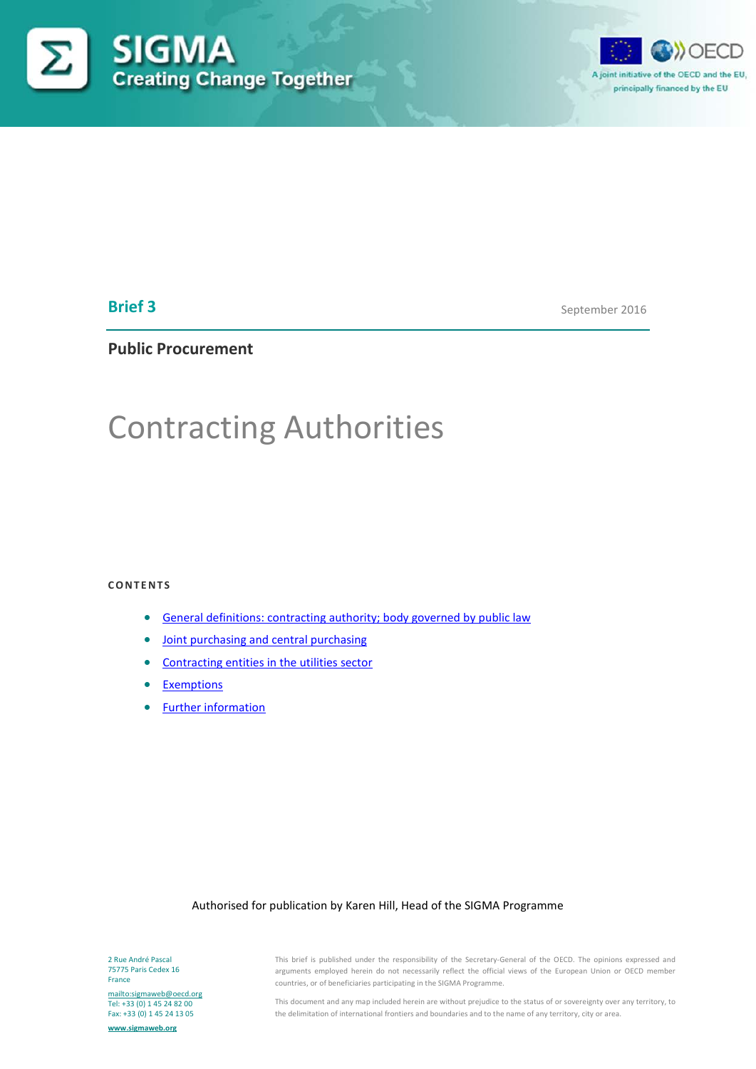



# **Brief 3**

September 2016

# **Public Procurement**

# Contracting Authorities

#### **CONTENTS**

- [General definitions: contracting authority; body governed by public law](#page-1-0)
- [Joint purchasing and central purchasing](#page-2-0)
- [Contracting entities in the utilities sector](#page-3-0)
- [Exemptions](#page-4-0)
- [Further information](#page-5-0)

#### Authorised for publication by Karen Hill, Head of the SIGMA Programme

2 Rue André Pascal 75775 Paris Cedex 16 France

<mailto:sigmaweb@oecd.org> Tel: +33 (0) 1 45 24 82 00 Fax: +33 (0) 1 45 24 13 05

**[www.sigmaweb.org](http://www.sigmaweb.org/)**

This brief is published under the responsibility of the Secretary-General of the OECD. The opinions expressed and arguments employed herein do not necessarily reflect the official views of the European Union or OECD member countries, or of beneficiaries participating in the SIGMA Programme.

This document and any map included herein are without prejudice to the status of or sovereignty over any territory, to the delimitation of international frontiers and boundaries and to the name of any territory, city or area.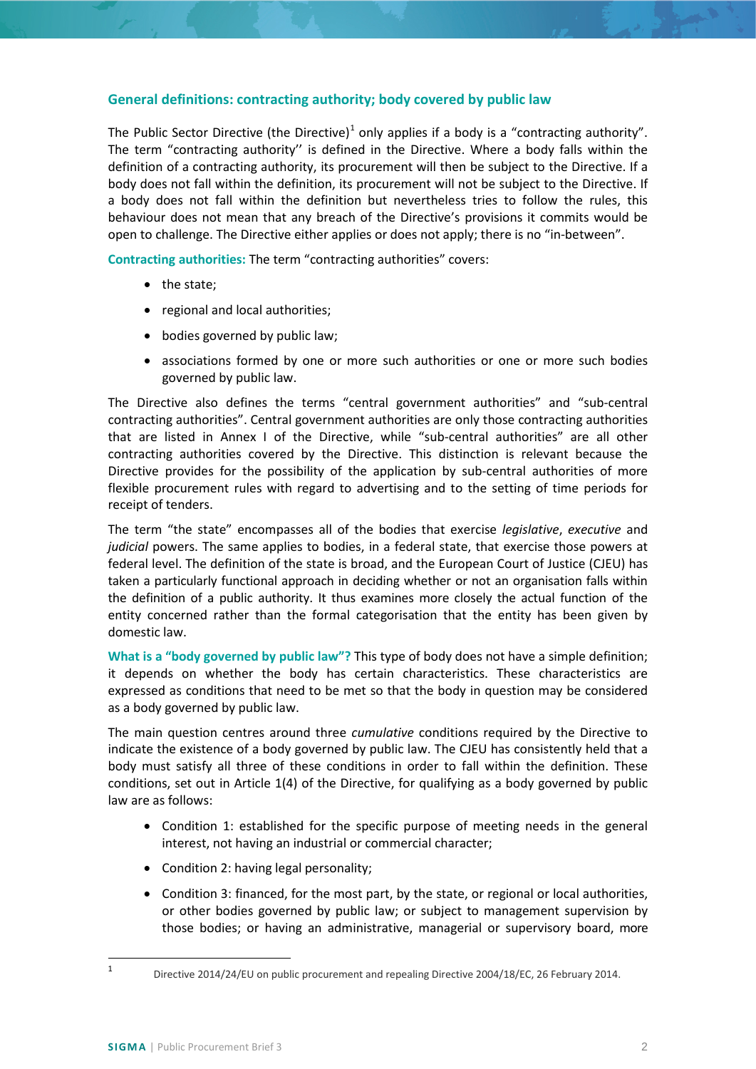## <span id="page-1-0"></span>**General definitions: contracting authority; body covered by public law**

The Public Sector Directive (the Directive)<sup>[1](#page-1-1)</sup> only applies if a body is a "contracting authority". The term "contracting authority'' is defined in the Directive. Where a body falls within the definition of a contracting authority, its procurement will then be subject to the Directive. If a body does not fall within the definition, its procurement will not be subject to the Directive. If a body does not fall within the definition but nevertheless tries to follow the rules, this behaviour does not mean that any breach of the Directive's provisions it commits would be open to challenge. The Directive either applies or does not apply; there is no "in-between".

**Contracting authorities:** The term "contracting authorities" covers:

- the state;
- regional and local authorities;
- bodies governed by public law;
- associations formed by one or more such authorities or one or more such bodies governed by public law.

The Directive also defines the terms "central government authorities" and "sub-central contracting authorities". Central government authorities are only those contracting authorities that are listed in Annex I of the Directive, while "sub-central authorities" are all other contracting authorities covered by the Directive. This distinction is relevant because the Directive provides for the possibility of the application by sub-central authorities of more flexible procurement rules with regard to advertising and to the setting of time periods for receipt of tenders.

The term "the state" encompasses all of the bodies that exercise *legislative*, *executive* and *judicial* powers. The same applies to bodies, in a federal state, that exercise those powers at federal level. The definition of the state is broad, and the European Court of Justice (CJEU) has taken a particularly functional approach in deciding whether or not an organisation falls within the definition of a public authority. It thus examines more closely the actual function of the entity concerned rather than the formal categorisation that the entity has been given by domestic law.

**What is a "body governed by public law"?** This type of body does not have a simple definition; it depends on whether the body has certain characteristics. These characteristics are expressed as conditions that need to be met so that the body in question may be considered as a body governed by public law.

The main question centres around three *cumulative* conditions required by the Directive to indicate the existence of a body governed by public law. The CJEU has consistently held that a body must satisfy all three of these conditions in order to fall within the definition. These conditions, set out in Article 1(4) of the Directive, for qualifying as a body governed by public law are as follows:

- Condition 1: established for the specific purpose of meeting needs in the general interest, not having an industrial or commercial character;
- Condition 2: having legal personality;
- Condition 3: financed, for the most part, by the state, or regional or local authorities, or other bodies governed by public law; or subject to management supervision by those bodies; or having an administrative, managerial or supervisory board, more

<span id="page-1-1"></span> <sup>1</sup> Directive 2014/24/EU on public procurement and repealing Directive 2004/18/EC, 26 February 2014.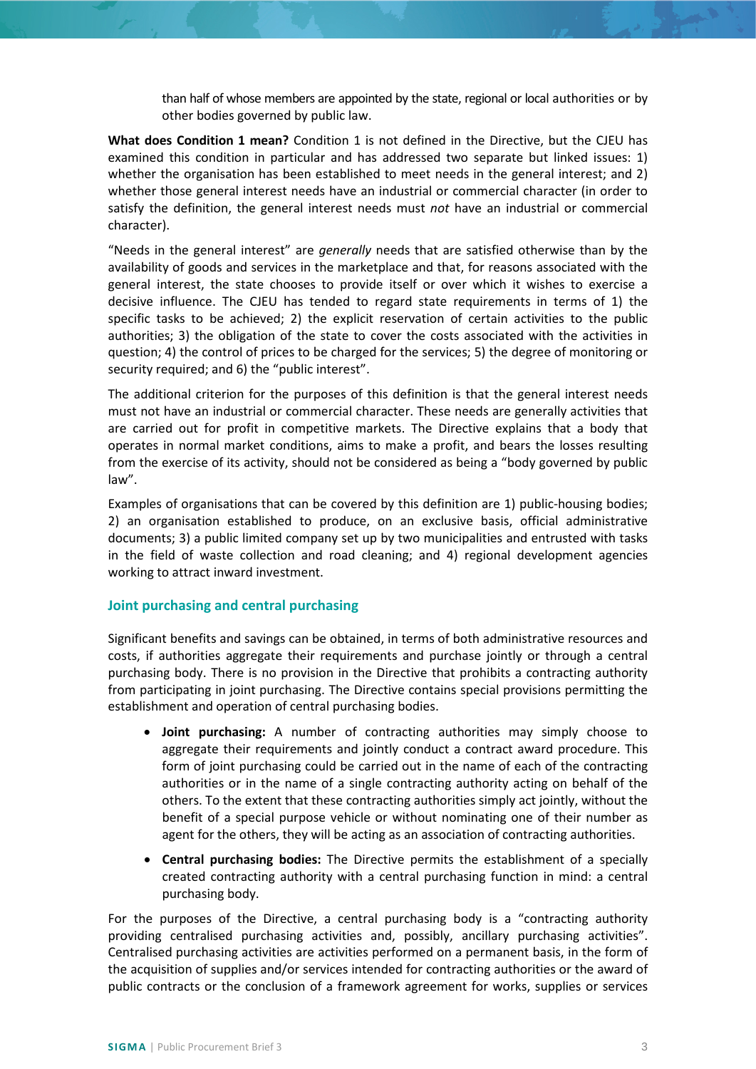than half of whose members are appointed by the state, regional or local authorities or by other bodies governed by public law.

**What does Condition 1 mean?** Condition 1 is not defined in the Directive, but the CJEU has examined this condition in particular and has addressed two separate but linked issues: 1) whether the organisation has been established to meet needs in the general interest; and 2) whether those general interest needs have an industrial or commercial character (in order to satisfy the definition, the general interest needs must *not* have an industrial or commercial character).

"Needs in the general interest" are *generally* needs that are satisfied otherwise than by the availability of goods and services in the marketplace and that, for reasons associated with the general interest, the state chooses to provide itself or over which it wishes to exercise a decisive influence. The CJEU has tended to regard state requirements in terms of 1) the specific tasks to be achieved; 2) the explicit reservation of certain activities to the public authorities; 3) the obligation of the state to cover the costs associated with the activities in question; 4) the control of prices to be charged for the services; 5) the degree of monitoring or security required; and 6) the "public interest".

The additional criterion for the purposes of this definition is that the general interest needs must not have an industrial or commercial character. These needs are generally activities that are carried out for profit in competitive markets. The Directive explains that a body that operates in normal market conditions, aims to make a profit, and bears the losses resulting from the exercise of its activity, should not be considered as being a "body governed by public law".

Examples of organisations that can be covered by this definition are 1) public-housing bodies; 2) an organisation established to produce, on an exclusive basis, official administrative documents; 3) a public limited company set up by two municipalities and entrusted with tasks in the field of waste collection and road cleaning; and 4) regional development agencies working to attract inward investment.

## <span id="page-2-0"></span>**Joint purchasing and central purchasing**

Significant benefits and savings can be obtained, in terms of both administrative resources and costs, if authorities aggregate their requirements and purchase jointly or through a central purchasing body. There is no provision in the Directive that prohibits a contracting authority from participating in joint purchasing. The Directive contains special provisions permitting the establishment and operation of central purchasing bodies.

- **Joint purchasing:** A number of contracting authorities may simply choose to aggregate their requirements and jointly conduct a contract award procedure. This form of joint purchasing could be carried out in the name of each of the contracting authorities or in the name of a single contracting authority acting on behalf of the others. To the extent that these contracting authorities simply act jointly, without the benefit of a special purpose vehicle or without nominating one of their number as agent for the others, they will be acting as an association of contracting authorities.
- **Central purchasing bodies:** The Directive permits the establishment of a specially created contracting authority with a central purchasing function in mind: a central purchasing body.

For the purposes of the Directive, a central purchasing body is a "contracting authority providing centralised purchasing activities and, possibly, ancillary purchasing activities". Centralised purchasing activities are activities performed on a permanent basis, in the form of the acquisition of supplies and/or services intended for contracting authorities or the award of public contracts or the conclusion of a framework agreement for works, supplies or services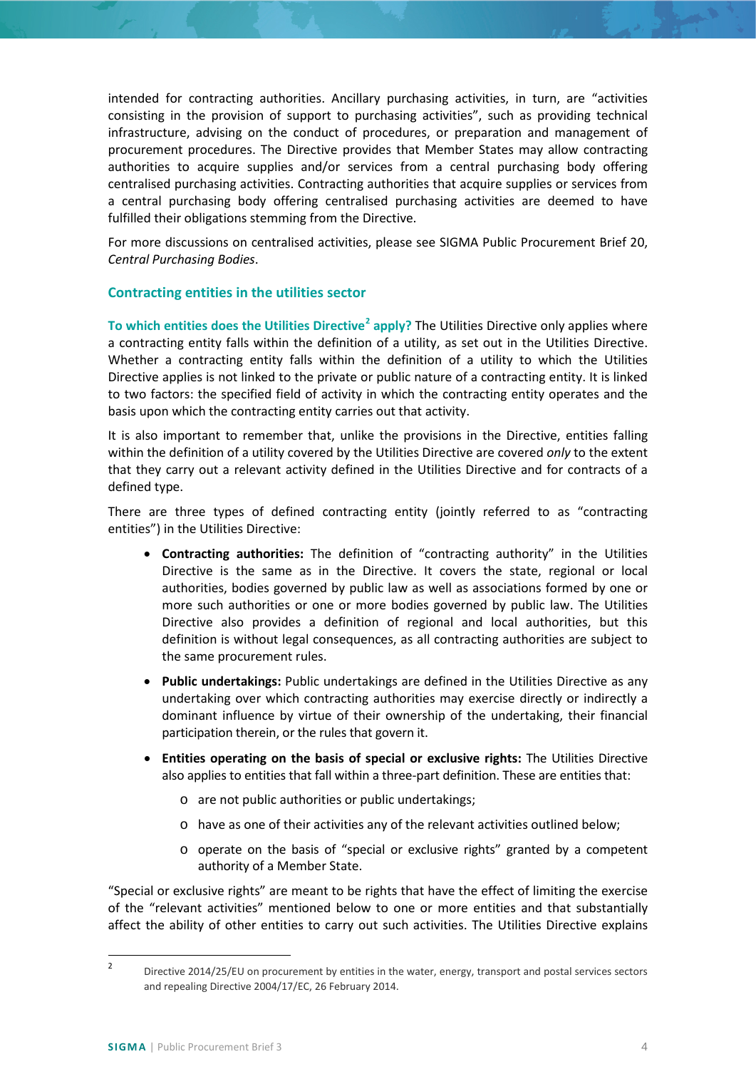intended for contracting authorities. Ancillary purchasing activities, in turn, are "activities consisting in the provision of support to purchasing activities", such as providing technical infrastructure, advising on the conduct of procedures, or preparation and management of procurement procedures. The Directive provides that Member States may allow contracting authorities to acquire supplies and/or services from a central purchasing body offering centralised purchasing activities. Contracting authorities that acquire supplies or services from a central purchasing body offering centralised purchasing activities are deemed to have fulfilled their obligations stemming from the Directive.

For more discussions on centralised activities, please see SIGMA Public Procurement Brief 20, *Central Purchasing Bodies*.

## <span id="page-3-0"></span>**Contracting entities in the utilities sector**

**To which entities does the Utilities Directive[2](#page-3-1) apply?** The Utilities Directive only applies where a contracting entity falls within the definition of a utility, as set out in the Utilities Directive. Whether a contracting entity falls within the definition of a utility to which the Utilities Directive applies is not linked to the private or public nature of a contracting entity. It is linked to two factors: the specified field of activity in which the contracting entity operates and the basis upon which the contracting entity carries out that activity.

It is also important to remember that, unlike the provisions in the Directive, entities falling within the definition of a utility covered by the Utilities Directive are covered *only* to the extent that they carry out a relevant activity defined in the Utilities Directive and for contracts of a defined type.

There are three types of defined contracting entity (jointly referred to as "contracting entities") in the Utilities Directive:

- **Contracting authorities:** The definition of "contracting authority" in the Utilities Directive is the same as in the Directive. It covers the state, regional or local authorities, bodies governed by public law as well as associations formed by one or more such authorities or one or more bodies governed by public law. The Utilities Directive also provides a definition of regional and local authorities, but this definition is without legal consequences, as all contracting authorities are subject to the same procurement rules.
- **Public undertakings:** Public undertakings are defined in the Utilities Directive as any undertaking over which contracting authorities may exercise directly or indirectly a dominant influence by virtue of their ownership of the undertaking, their financial participation therein, or the rules that govern it.
- **Entities operating on the basis of special or exclusive rights:** The Utilities Directive also applies to entities that fall within a three-part definition. These are entities that:
	- o are not public authorities or public undertakings;
	- o have as one of their activities any of the relevant activities outlined below;
	- o operate on the basis of "special or exclusive rights" granted by a competent authority of a Member State.

"Special or exclusive rights" are meant to be rights that have the effect of limiting the exercise of the "relevant activities" mentioned below to one or more entities and that substantially affect the ability of other entities to carry out such activities. The Utilities Directive explains

<span id="page-3-1"></span> <sup>2</sup> Directive 2014/25/EU on procurement by entities in the water, energy, transport and postal services sectors and repealing Directive 2004/17/EC, 26 February 2014.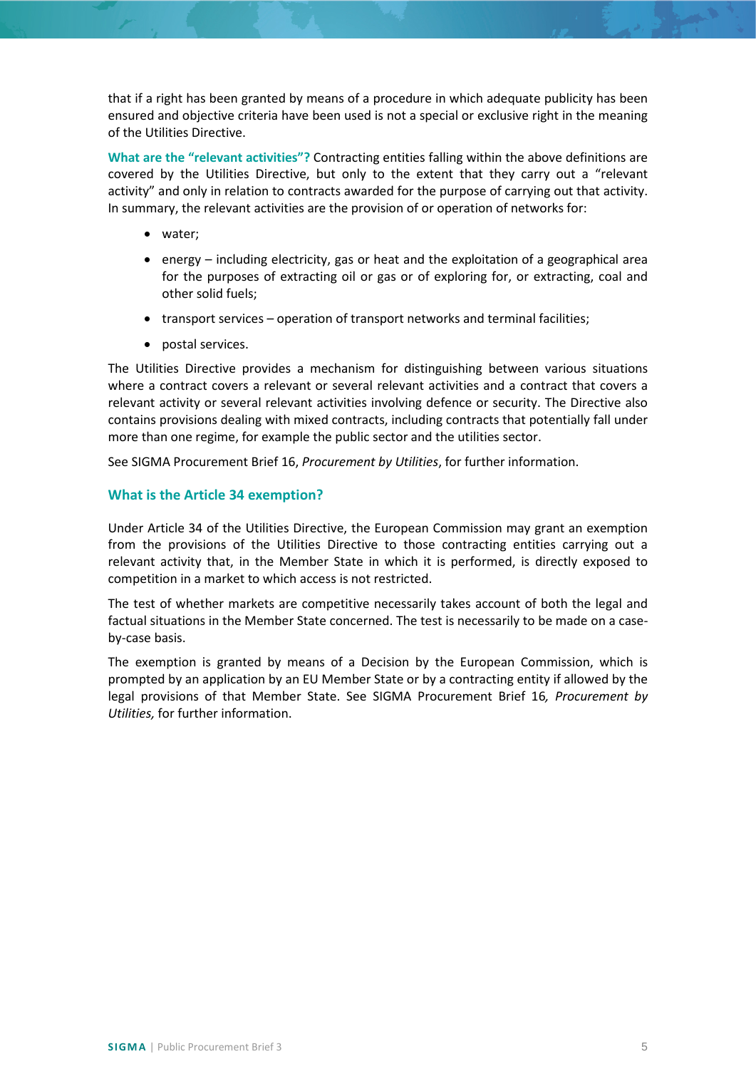that if a right has been granted by means of a procedure in which adequate publicity has been ensured and objective criteria have been used is not a special or exclusive right in the meaning of the Utilities Directive.

**What are the "relevant activities"?** Contracting entities falling within the above definitions are covered by the Utilities Directive, but only to the extent that they carry out a "relevant activity" and only in relation to contracts awarded for the purpose of carrying out that activity. In summary, the relevant activities are the provision of or operation of networks for:

- water;
- energy including electricity, gas or heat and the exploitation of a geographical area for the purposes of extracting oil or gas or of exploring for, or extracting, coal and other solid fuels;
- transport services operation of transport networks and terminal facilities;
- postal services.

The Utilities Directive provides a mechanism for distinguishing between various situations where a contract covers a relevant or several relevant activities and a contract that covers a relevant activity or several relevant activities involving defence or security. The Directive also contains provisions dealing with mixed contracts, including contracts that potentially fall under more than one regime, for example the public sector and the utilities sector.

See SIGMA Procurement Brief 16, *Procurement by Utilities*, for further information.

# <span id="page-4-0"></span>**What is the Article 34 exemption?**

Under Article 34 of the Utilities Directive, the European Commission may grant an exemption from the provisions of the Utilities Directive to those contracting entities carrying out a relevant activity that, in the Member State in which it is performed, is directly exposed to competition in a market to which access is not restricted.

The test of whether markets are competitive necessarily takes account of both the legal and factual situations in the Member State concerned. The test is necessarily to be made on a caseby-case basis.

The exemption is granted by means of a Decision by the European Commission, which is prompted by an application by an EU Member State or by a contracting entity if allowed by the legal provisions of that Member State. See SIGMA Procurement Brief 16*, Procurement by Utilities,* for further information.